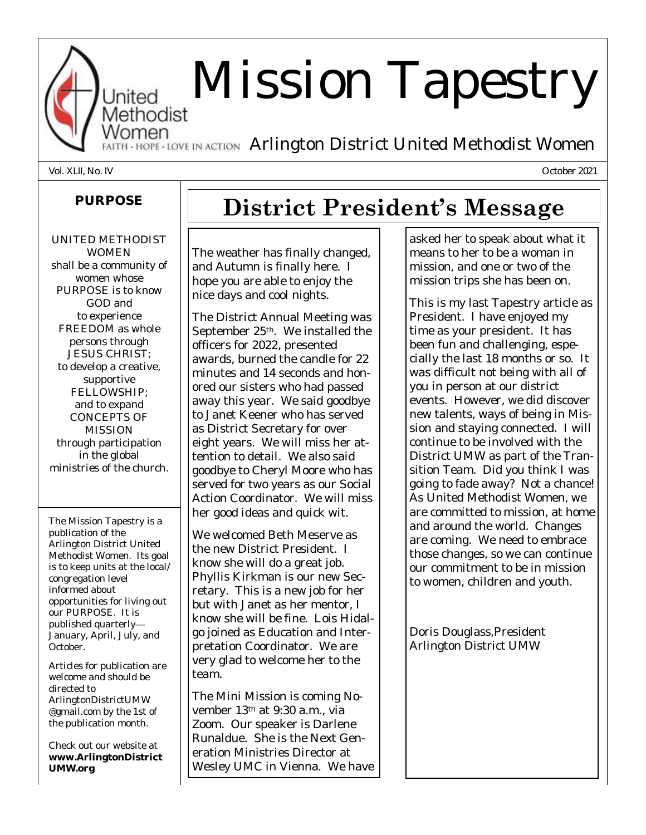Mission Tapestry Methodist

Women FAITH - HOPE - LOVE IN ACTION Arlington District United Methodist Women

#### Vol. XLII, No. IV

#### **PURPOSE**

United

UNITED METHODIST **WOMEN** shall be a community of women whose PURPOSE is to know GOD and to experience FREEDOM as whole persons through JESUS CHRIST; to develop a creative, supportive FELLOWSHIP; and to expand CONCEPTS OF MISSION through participation in the global ministries of the church.

The Mission Tapestry is a publication of the Arlington District United Methodist Women. Its goal is to keep units at the local/ congregation level informed about opportunities for living out our PURPOSE. It is published quarterly— January, April, July, and October.

Articles for publication are welcome and should be directed to ArlingtonDistrictUMW @gmail.com by the 1st of the publication month.

Check out our website at **www.ArlingtonDistrict UMW.org**

## **District President's Message**

The weather has finally changed, and Autumn is finally here. I hope you are able to enjoy the nice days and cool nights.

The District Annual Meeting was September 25th. We installed the officers for 2022, presented awards, burned the candle for 22 minutes and 14 seconds and honored our sisters who had passed away this year. We said goodbye to Janet Keener who has served as District Secretary for over eight years. We will miss her attention to detail. We also said goodbye to Cheryl Moore who has served for two years as our Social Action Coordinator. We will miss her good ideas and quick wit.

We welcomed Beth Meserve as the new District President. I know she will do a great job. Phyllis Kirkman is our new Secretary. This is a new job for her but with Janet as her mentor, I know she will be fine. Lois Hidalgo joined as Education and Interpretation Coordinator. We are very glad to welcome her to the team.

The Mini Mission is coming November 13th at 9:30 a.m., via Zoom. Our speaker is Darlene Runaldue. She is the Next Generation Ministries Director at Wesley UMC in Vienna. We have asked her to speak about what it means to her to be a woman in mission, and one or two of the mission trips she has been on.

This is my last Tapestry article as President. I have enjoyed my time as your president. It has been fun and challenging, especially the last 18 months or so. It was difficult not being with all of you in person at our district events. However, we did discover new talents, ways of being in Mission and staying connected. I will continue to be involved with the District UMW as part of the Transition Team. Did you think I was going to fade away? Not a chance! As United Methodist Women, we are committed to mission, at home and around the world. Changes are coming. We need to embrace those changes, so we can continue our commitment to be in mission to women, children and youth.

Doris Douglass,President Arlington District UMW

#### October 2021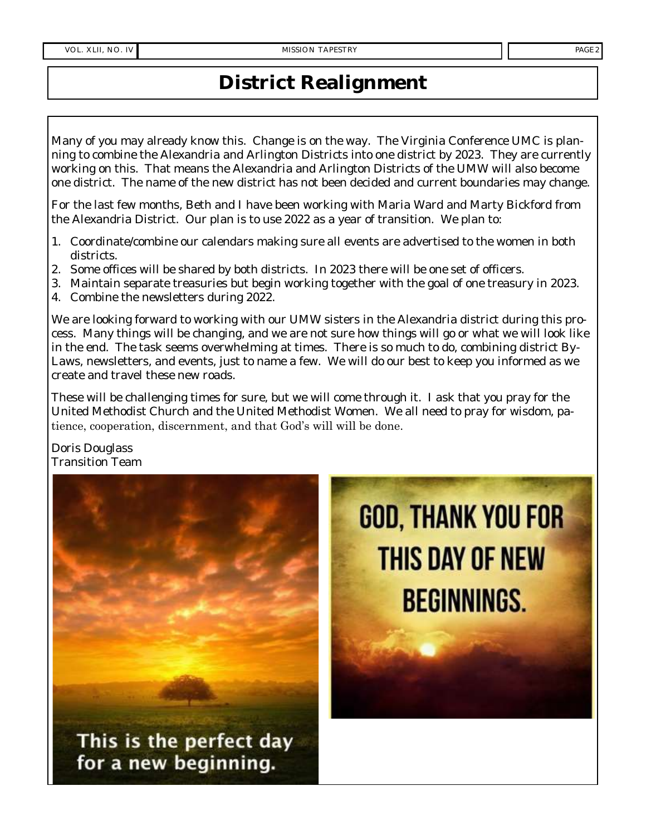### **District Realignment**

Many of you may already know this. Change is on the way. The Virginia Conference UMC is planning to combine the Alexandria and Arlington Districts into one district by 2023. They are currently working on this. That means the Alexandria and Arlington Districts of the UMW will also become one district. The name of the new district has not been decided and current boundaries may change.

For the last few months, Beth and I have been working with Maria Ward and Marty Bickford from the Alexandria District. Our plan is to use 2022 as a year of transition. We plan to:

- 1. Coordinate/combine our calendars making sure all events are advertised to the women in both districts.
- 2. Some offices will be shared by both districts. In 2023 there will be one set of officers.
- 3. Maintain separate treasuries but begin working together with the goal of one treasury in 2023.
- 4. Combine the newsletters during 2022.

We are looking forward to working with our UMW sisters in the Alexandria district during this process. Many things will be changing, and we are not sure how things will go or what we will look like in the end. The task seems overwhelming at times. There is so much to do, combining district By-Laws, newsletters, and events, just to name a few. We will do our best to keep you informed as we create and travel these new roads.

These will be challenging times for sure, but we will come through it. I ask that you pray for the United Methodist Church and the United Methodist Women. We all need to pray for wisdom, patience, cooperation, discernment, and that God's will will be done.

Doris Douglass Transition Team



# **GOD, THANK YOU FOR THIS DAY OF NEW BEGINNINGS.**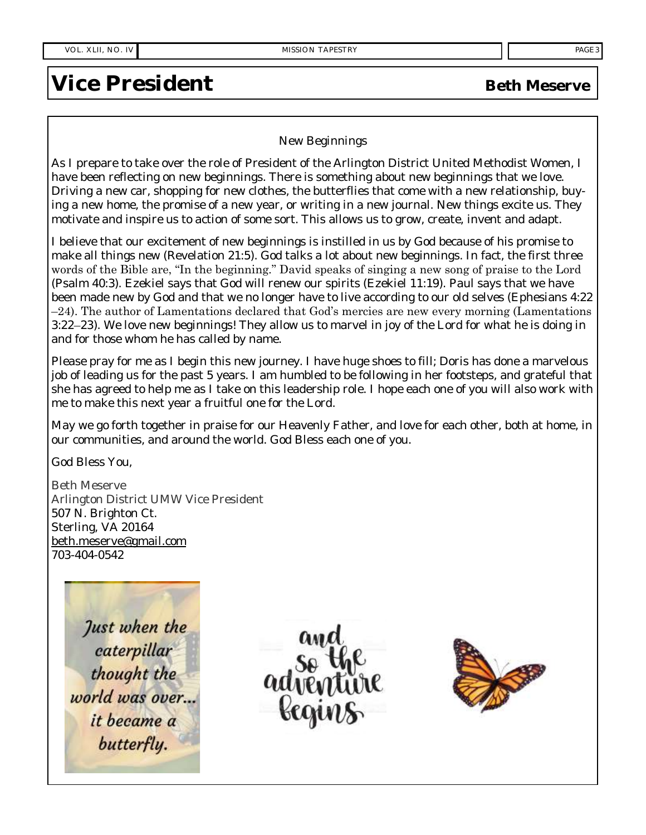## **Vice President Beth Meserve**

#### New Beginnings

As I prepare to take over the role of President of the Arlington District United Methodist Women, I have been reflecting on new beginnings. There is something about new beginnings that we love. Driving a new car, shopping for new clothes, the butterflies that come with a new relationship, buying a new home, the promise of a new year, or writing in a new journal. New things excite us. They motivate and inspire us to action of some sort. This allows us to grow, create, invent and adapt.

I believe that our excitement of new beginnings is instilled in us by God because of his promise to make all things new (Revelation 21:5). God talks a lot about new beginnings. In fact, the first three words of the Bible are, "In the beginning." David speaks of singing a new song of praise to the Lord (Psalm 40:3). Ezekiel says that God will renew our spirits (Ezekiel 11:19). Paul says that we have been made new by God and that we no longer have to live according to our old selves (Ephesians 4:22 –24). The author of Lamentations declared that God's mercies are new every morning (Lamentations 3:22–23). We love new beginnings! They allow us to marvel in joy of the Lord for what he is doing in and for those whom he has called by name.

Please pray for me as I begin this new journey. I have huge shoes to fill; Doris has done a marvelous job of leading us for the past 5 years. I am humbled to be following in her footsteps, and grateful that she has agreed to help me as I take on this leadership role. I hope each one of you will also work with me to make this next year a fruitful one for the Lord.

May we go forth together in praise for our Heavenly Father, and love for each other, both at home, in our communities, and around the world. God Bless each one of you.

God Bless You,

Beth Meserve Arlington District UMW Vice President 507 N. Brighton Ct. Sterling, VA 20164 [beth.meserve@gmail.com](mailto:beth.meserve@gmail.com) 703-404-0542

Just when the caterpillar thought the world was over... it became a butterfly.



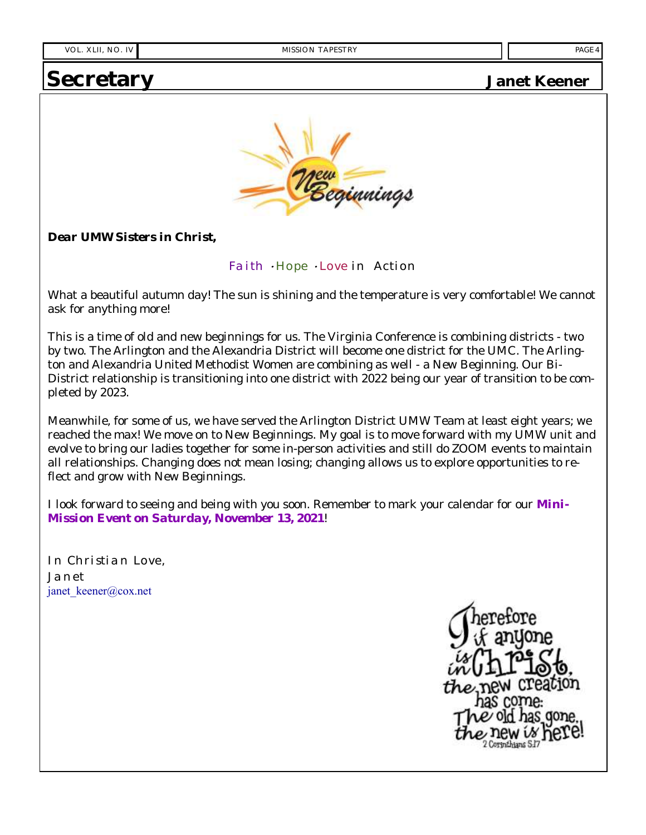### **Secretary Janet Keener**



*Dear UMW Sisters in Christ,*

*Faith •Hope •Love in Action*

What a beautiful autumn day! The sun is shining and the temperature is very comfortable! We cannot ask for anything more!

This is a time of old and new beginnings for us. The Virginia Conference is combining districts - two by two. The Arlington and the Alexandria District will become one district for the UMC. The Arlington and Alexandria United Methodist Women are combining as well - a New Beginning. Our Bi-District relationship is transitioning into one district with 2022 being our year of transition to be completed by 2023.

Meanwhile, for some of us, we have served the Arlington District UMW Team at least eight years; we reached the max! We move on to New Beginnings. My goal is to move forward with my UMW unit and evolve to bring our ladies together for some in-person activities and still do ZOOM events to maintain all relationships. Changing does not mean losing; changing allows us to explore opportunities to reflect and grow with New Beginnings.

I look forward to seeing and being with you soon. Remember to mark your calendar for our *Mini-Mission Event on Saturday, November 13, 2021*!

*In Christian Love, Janet* janet keener@cox.net

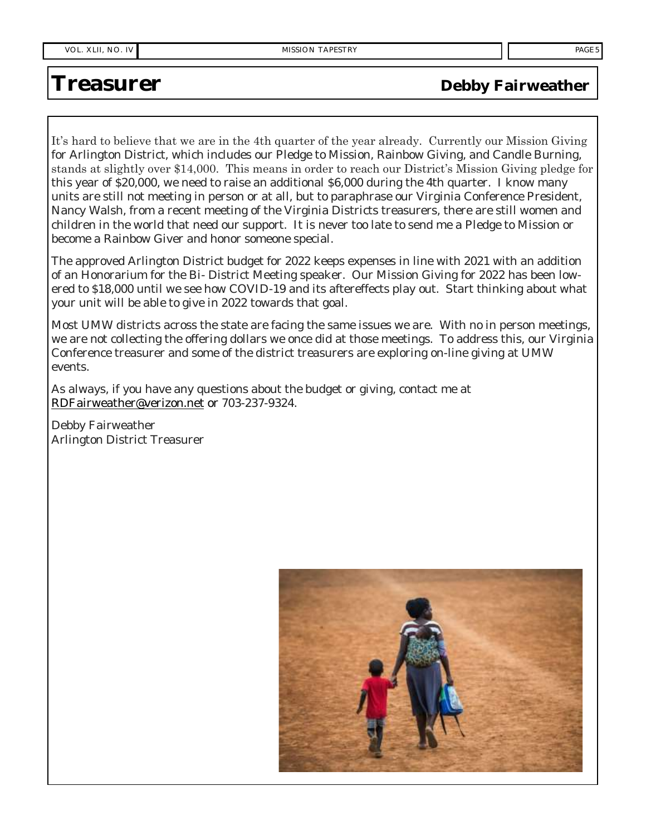VOL. XLII, NO. IV PAGE 5 PAGE 5 PAGE 5 PAGE 5 PAGE 5 PAGE 5 PAGE 5 PAGE 5 PAGE 5 PAGE 5 PAGE 5 PAGE 5 PAGE 5 P

### **Treasurer Debby Fairweather**

It's hard to believe that we are in the 4th quarter of the year already. Currently our Mission Giving for Arlington District, which includes our Pledge to Mission, Rainbow Giving, and Candle Burning, stands at slightly over \$14,000. This means in order to reach our District's Mission Giving pledge for this year of \$20,000, we need to raise an additional \$6,000 during the 4th quarter. I know many units are still not meeting in person or at all, but to paraphrase our Virginia Conference President, Nancy Walsh, from a recent meeting of the Virginia Districts treasurers, there are still women and children in the world that need our support. It is never too late to send me a Pledge to Mission or become a Rainbow Giver and honor someone special.

The approved Arlington District budget for 2022 keeps expenses in line with 2021 with an addition of an Honorarium for the Bi- District Meeting speaker. Our Mission Giving for 2022 has been lowered to \$18,000 until we see how COVID-19 and its aftereffects play out. Start thinking about what your unit will be able to give in 2022 towards that goal.

Most UMW districts across the state are facing the same issues we are. With no in person meetings, we are not collecting the offering dollars we once did at those meetings. To address this, our Virginia Conference treasurer and some of the district treasurers are exploring on-line giving at UMW events.

As always, if you have any questions about the budget or giving, contact me at [RDFairweather@verizon.net](mailto:RDFairweather@verizon.net) or 703-237-9324.

Debby Fairweather Arlington District Treasurer

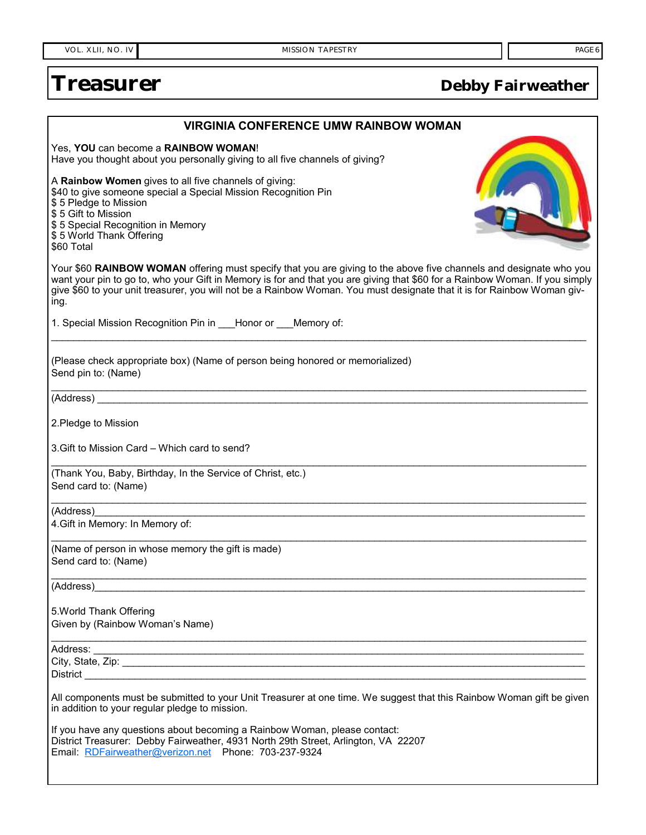VOL. XLII, NO. IV PAGE 6

## **Treasurer Debby Fairweather**

| <b>VIRGINIA CONFERENCE UMW RAINBOW WOMAN</b>                                                                                                                                                                                                                                                                                                                                         |  |  |  |
|--------------------------------------------------------------------------------------------------------------------------------------------------------------------------------------------------------------------------------------------------------------------------------------------------------------------------------------------------------------------------------------|--|--|--|
| Yes, YOU can become a RAINBOW WOMAN!<br>Have you thought about you personally giving to all five channels of giving?                                                                                                                                                                                                                                                                 |  |  |  |
| A Rainbow Women gives to all five channels of giving:<br>\$40 to give someone special a Special Mission Recognition Pin<br>\$5 Pledge to Mission<br>\$5 Gift to Mission<br>\$5 Special Recognition in Memory<br>\$5 World Thank Offering<br>\$60 Total                                                                                                                               |  |  |  |
| Your \$60 RAINBOW WOMAN offering must specify that you are giving to the above five channels and designate who you<br>want your pin to go to, who your Gift in Memory is for and that you are giving that \$60 for a Rainbow Woman. If you simply<br>give \$60 to your unit treasurer, you will not be a Rainbow Woman. You must designate that it is for Rainbow Woman giv-<br>ing. |  |  |  |
| 1. Special Mission Recognition Pin in ___Honor or ___Memory of:                                                                                                                                                                                                                                                                                                                      |  |  |  |
| (Please check appropriate box) (Name of person being honored or memorialized)<br>Send pin to: (Name)                                                                                                                                                                                                                                                                                 |  |  |  |
| (Address) <b>Example 20</b> (Address)                                                                                                                                                                                                                                                                                                                                                |  |  |  |
| 2. Pledge to Mission                                                                                                                                                                                                                                                                                                                                                                 |  |  |  |
| 3. Gift to Mission Card – Which card to send?                                                                                                                                                                                                                                                                                                                                        |  |  |  |
| (Thank You, Baby, Birthday, In the Service of Christ, etc.)<br>Send card to: (Name)                                                                                                                                                                                                                                                                                                  |  |  |  |
| (Address)                                                                                                                                                                                                                                                                                                                                                                            |  |  |  |
| 4. Gift in Memory: In Memory of:                                                                                                                                                                                                                                                                                                                                                     |  |  |  |
| (Name of person in whose memory the gift is made)<br>Send card to: (Name)                                                                                                                                                                                                                                                                                                            |  |  |  |
| (Address)                                                                                                                                                                                                                                                                                                                                                                            |  |  |  |
| 5. World Thank Offering<br>Given by (Rainbow Woman's Name)                                                                                                                                                                                                                                                                                                                           |  |  |  |
| City, State, Zip: 2008. External contract of the City, State, Zip: 2008. The City of the City of the City of the City of the City of the City of the City of the City of the City of the City of the City of the City of the C                                                                                                                                                       |  |  |  |
| All components must be submitted to your Unit Treasurer at one time. We suggest that this Rainbow Woman gift be given<br>in addition to your regular pledge to mission.                                                                                                                                                                                                              |  |  |  |
| If you have any questions about becoming a Rainbow Woman, please contact:<br>District Treasurer: Debby Fairweather, 4931 North 29th Street, Arlington, VA 22207<br>Email: RDFairweather@verizon.net Phone: 703-237-9324                                                                                                                                                              |  |  |  |
|                                                                                                                                                                                                                                                                                                                                                                                      |  |  |  |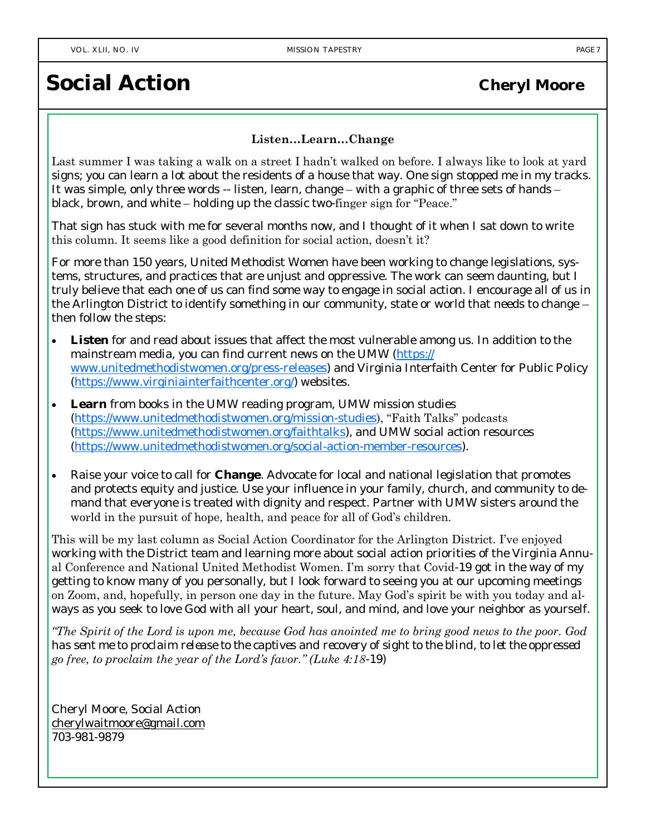### **Social Action Cheryl Moore**

#### **Listen…Learn…Change**

Last summer I was taking a walk on a street I hadn't walked on before. I always like to look at yard signs; you can learn a lot about the residents of a house that way. One sign stopped me in my tracks. It was simple, only three words -- listen, learn, change – with a graphic of three sets of hands – black, brown, and white – holding up the classic two-finger sign for "Peace."

That sign has stuck with me for several months now, and I thought of it when I sat down to write this column. It seems like a good definition for social action, doesn't it?

For more than 150 years, United Methodist Women have been working to change legislations, systems, structures, and practices that are unjust and oppressive. The work can seem daunting, but I truly believe that each one of us can find some way to engage in social action. I encourage all of us in the Arlington District to identify something in our community, state or world that needs to change – then follow the steps:

- **Listen** for and read about issues that affect the most vulnerable among us. In addition to the mainstream media, you can find current news on the UMW ([https://](https://www.unitedmethodistwomen.org/press-releases) [www.unitedmethodistwomen.org/press-releases\)](https://www.unitedmethodistwomen.org/press-releases) and Virginia Interfaith Center for Public Policy ([https://www.virginiainterfaithcenter.org/\)](https://www.virginiainterfaithcenter.org/) websites.
- **Learn** from books in the UMW reading program, UMW mission studies ([https://www.unitedmethodistwomen.org/mission-studies\),](https://www.unitedmethodistwomen.org/mission-studies) "Faith Talks" podcasts ([https://www.unitedmethodistwomen.org/faithtalks\),](https://www.unitedmethodistwomen.org/faithtalks) and UMW social action resources ([https://www.unitedmethodistwomen.org/social-action-member-resources\)](https://www.unitedmethodistwomen.org/social-action-member-resources).
- Raise your voice to call for **Change**. Advocate for local and national legislation that promotes and protects equity and justice. Use your influence in your family, church, and community to demand that everyone is treated with dignity and respect. Partner with UMW sisters around the world in the pursuit of hope, health, and peace for all of God's children.

This will be my last column as Social Action Coordinator for the Arlington District. I've enjoyed working with the District team and learning more about social action priorities of the Virginia Annual Conference and National United Methodist Women. I'm sorry that Covid-19 got in the way of my getting to know many of you personally, but I look forward to seeing you at our upcoming meetings on Zoom, and, hopefully, in person one day in the future. May God's spirit be with you today and always as you seek to love God with all your heart, soul, and mind, and love your neighbor as yourself.

*"The Spirit of the Lord is upon me, because God has anointed me to bring good news to the poor. God has sent me to proclaim release to the captives and recovery of sight to the blind, to let the oppressed go free, to proclaim the year of the Lord's favor." (Luke 4:18-19)*

Cheryl Moore, Social Action [cherylwaitmoore@gmail.com](mailto:cherylwaitmoore@gmail.com) 703-981-9879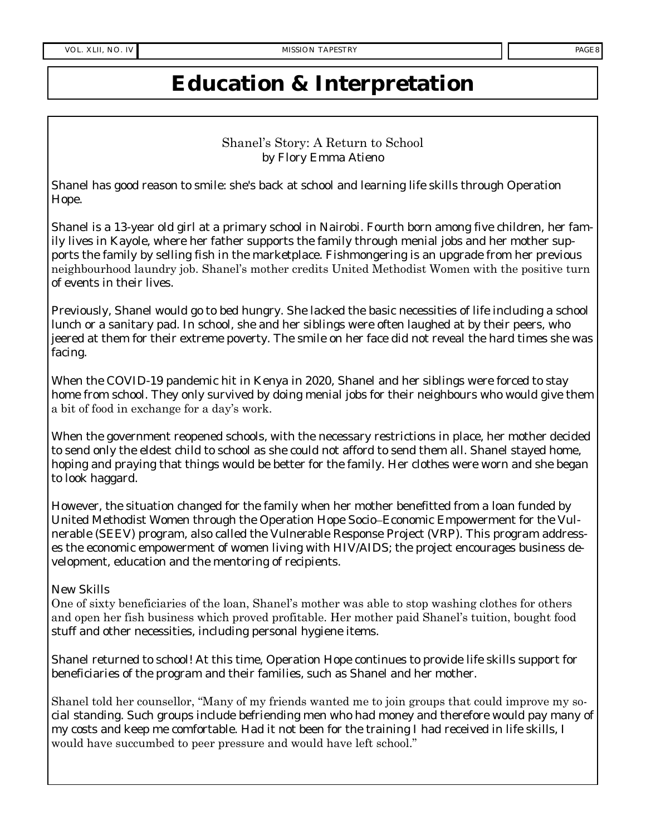### **Education & Interpretation**

#### Shanel's Story: A Return to School

by Flory Emma Atieno

Shanel has good reason to smile: she's back at school and learning life skills through Operation Hope.

Shanel is a 13-year old girl at a primary school in Nairobi. Fourth born among five children, her family lives in Kayole, where her father supports the family through menial jobs and her mother supports the family by selling fish in the marketplace. Fishmongering is an upgrade from her previous neighbourhood laundry job. Shanel's mother credits United Methodist Women with the positive turn of events in their lives.

Previously, Shanel would go to bed hungry. She lacked the basic necessities of life including a school lunch or a sanitary pad. In school, she and her siblings were often laughed at by their peers, who jeered at them for their extreme poverty. The smile on her face did not reveal the hard times she was facing.

When the COVID-19 pandemic hit in Kenya in 2020, Shanel and her siblings were forced to stay home from school. They only survived by doing menial jobs for their neighbours who would give them a bit of food in exchange for a day's work.

When the government reopened schools, with the necessary restrictions in place, her mother decided to send only the eldest child to school as she could not afford to send them all. Shanel stayed home, hoping and praying that things would be better for the family. Her clothes were worn and she began to look haggard.

However, the situation changed for the family when her mother benefitted from a loan funded by United Methodist Women through the Operation Hope Socio–Economic Empowerment for the Vulnerable (SEEV) program, also called the Vulnerable Response Project (VRP). This program addresses the economic empowerment of women living with HIV/AIDS; the project encourages business development, education and the mentoring of recipients.

#### New Skills

One of sixty beneficiaries of the loan, Shanel's mother was able to stop washing clothes for others and open her fish business which proved profitable. Her mother paid Shanel's tuition, bought food stuff and other necessities, including personal hygiene items.

Shanel returned to school! At this time, Operation Hope continues to provide life skills support for beneficiaries of the program and their families, such as Shanel and her mother.

Shanel told her counsellor, "Many of my friends wanted me to join groups that could improve my social standing. Such groups include befriending men who had money and therefore would pay many of my costs and keep me comfortable. Had it not been for the training I had received in life skills, I would have succumbed to peer pressure and would have left school."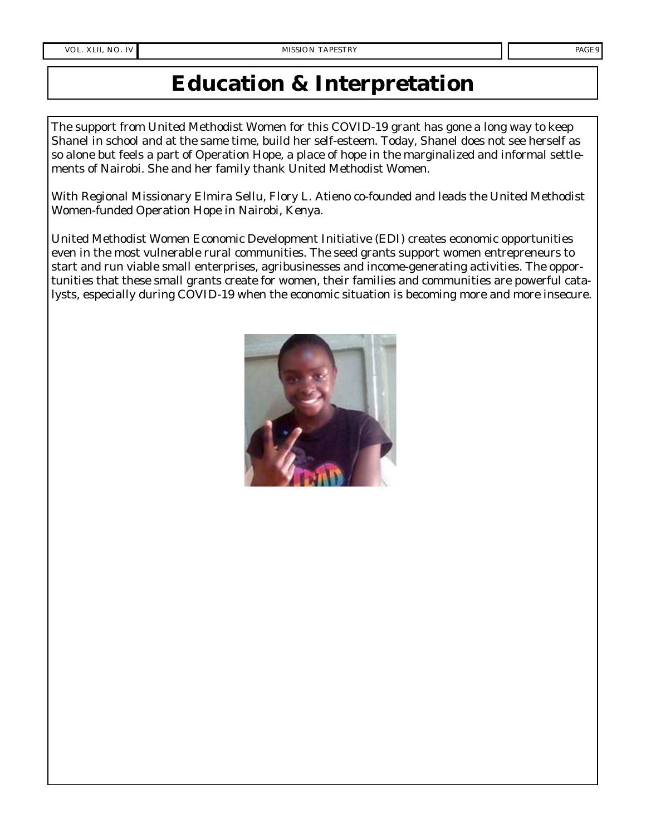### **Education & Interpretation**

The support from United Methodist Women for this COVID-19 grant has gone a long way to keep Shanel in school and at the same time, build her self-esteem. Today, Shanel does not see herself as so alone but feels a part of Operation Hope, a place of hope in the marginalized and informal settlements of Nairobi. She and her family thank United Methodist Women.

With Regional Missionary Elmira Sellu, Flory L. Atieno co-founded and leads the United Methodist Women-funded Operation Hope in Nairobi, Kenya.

United Methodist Women Economic Development Initiative (EDI) creates economic opportunities even in the most vulnerable rural communities. The seed grants support women entrepreneurs to start and run viable small enterprises, agribusinesses and income-generating activities. The opportunities that these small grants create for women, their families and communities are powerful catalysts, especially during COVID-19 when the economic situation is becoming more and more insecure.

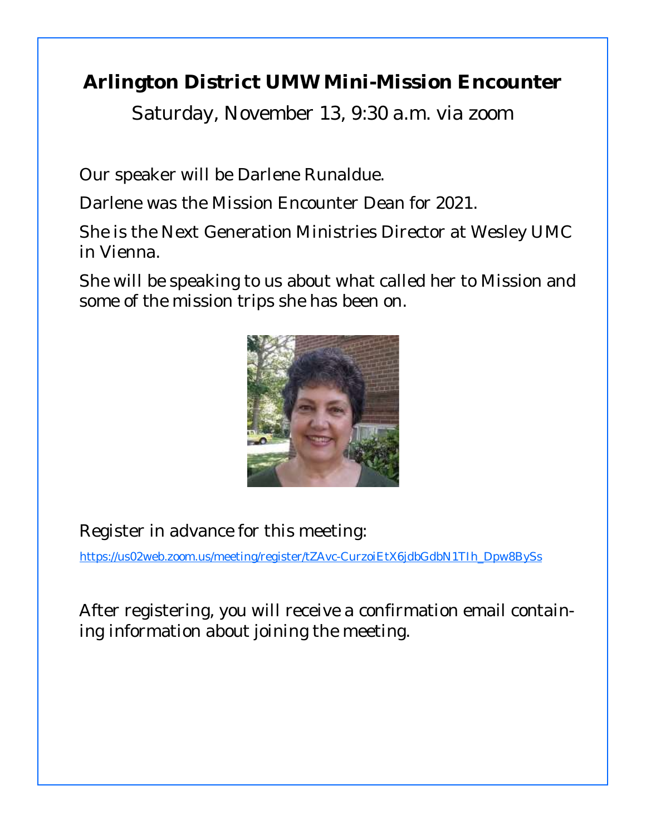**Arlington District UMW Mini-Mission Encounter** Saturday, November 13, 9:30 a.m. via zoom

Our speaker will be Darlene Runaldue.

Darlene was the Mission Encounter Dean for 2021.

She is the Next Generation Ministries Director at Wesley UMC in Vienna.

She will be speaking to us about what called her to Mission and some of the mission trips she has been on.



Register in advance for this meeting:

[https://us02web.zoom.us/meeting/register/tZAvc-CurzoiEtX6jdbGdbN1TIh\\_Dpw8BySs](https://us02web.zoom.us/meeting/register/tZAvc-CurzoiEtX6jdbGdbN1TIh_Dpw8BySs)

After registering, you will receive a confirmation email containing information about joining the meeting.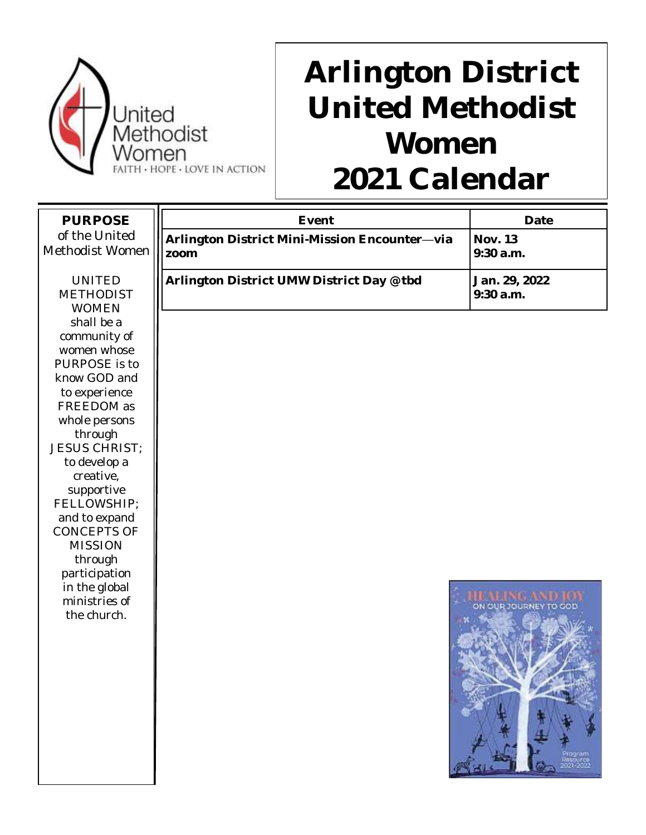

# **Arlington District United Methodist Women 2021 Calendar**

| <b>PURPOSE</b>                                                                                      | Event                                                 | Date                             |
|-----------------------------------------------------------------------------------------------------|-------------------------------------------------------|----------------------------------|
| of the United<br>Methodist Women                                                                    | Arlington District Mini-Mission Encounter-via<br>zoom | Nov. 13<br>9:30 a.m.             |
| <b>UNITED</b><br>METHODIST<br><b>WOMEN</b><br>shall be a<br>community of                            | Arlington District UMW District Day @ tbd             | Jan. 29, 2022<br>9:30 a.m.       |
| women whose<br>PURPOSE is to<br>know GOD and<br>to experience<br>FREEDOM as<br>whole persons        |                                                       |                                  |
| through<br>JESUS CHRIST;<br>to develop a<br>creative,<br>supportive<br>FELLOWSHIP;<br>and to expand |                                                       |                                  |
| CONCEPTS OF<br><b>MISSION</b><br>through<br>participation<br>in the global<br>ministries of         |                                                       | <b>OUR JOURNEY TO GOD</b>        |
| the church.                                                                                         |                                                       | Program<br>Resource<br>2021-2022 |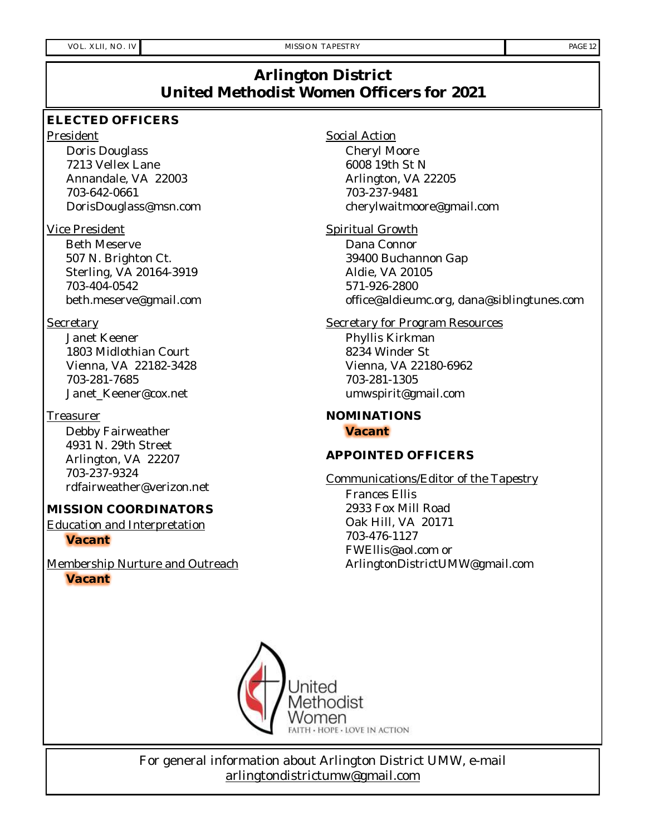### **Arlington District United Methodist Women Officers for 2021**

#### **ELECTED OFFICERS**

President

Doris Douglass 7213 Vellex Lane Annandale, VA 22003 703-642-0661 DorisDouglass@msn.com

Vice President

Beth Meserve 507 N. Brighton Ct. Sterling, VA 20164-3919 703-404-0542 [beth.meserve@gmail.com](mailto:beth.meserve@gmail.com)

#### **Secretary**

Janet Keener 1803 Midlothian Court Vienna, VA 22182-3428 703-281-7685 Janet\_Keener@cox.net

#### Treasurer

Debby Fairweather 4931 N. 29th Street Arlington, VA 22207 703-237-9324 rdfairweather@verizon.net

**MISSION COORDINATORS** Education and Interpretation

*Vacant*

Membership Nurture and Outreach

*Vacant*

#### Social Action

Cheryl Moore 6008 19th St N Arlington, VA 22205 703-237-9481 cherylwaitmoore@gmail.com

Spiritual Growth

Dana Connor 39400 Buchannon Gap Aldie, VA 20105 571-926-2800 office@aldieumc.org, dana@siblingtunes.com

#### Secretary for Program Resources

Phyllis Kirkman 8234 Winder St Vienna, VA 22180-6962 703-281-1305 umwspirit@gmail.com

#### **NOMINATIONS**

*Vacant*

#### **APPOINTED OFFICERS**

#### Communications/Editor of the *Tapestry*

Frances Ellis 2933 Fox Mill Road Oak Hill, VA 20171 703-476-1127 FWEllis@aol.com or ArlingtonDistrictUMW@gmail.com



For general information about Arlington District UMW, e-mail [arlingtondistrictumw@gmail.com](mailto:arlingtondistrictumw@gmail.com)